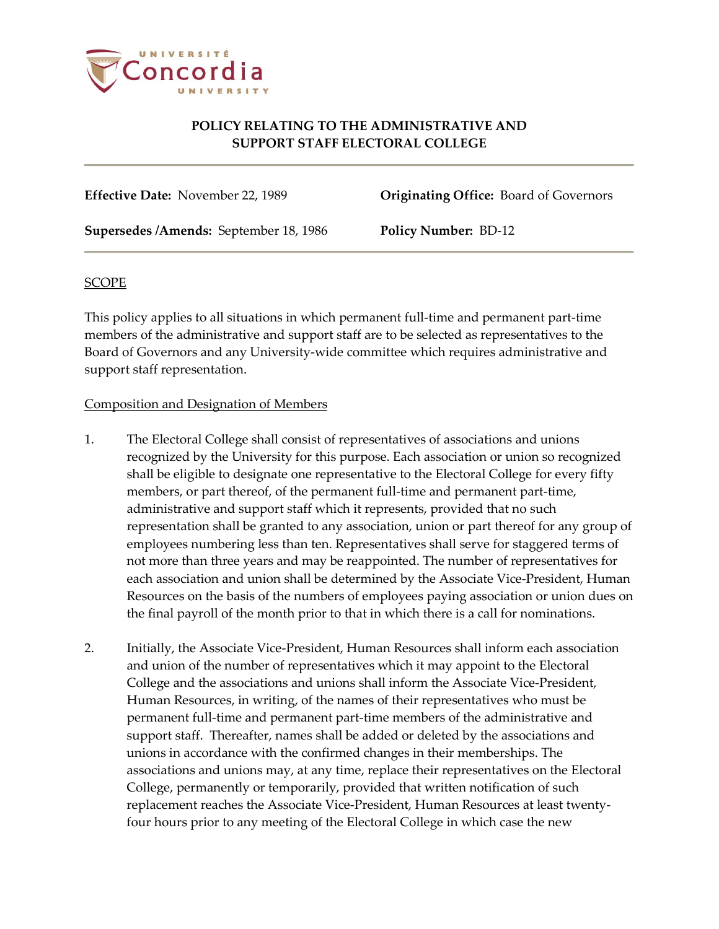

## **POLICY RELATING TO THE ADMINISTRATIVE AND SUPPORT STAFF ELECTORAL COLLEGE**

**Effective Date:** November 22, 1989 **Originating Office:** Board of Governors

**Supersedes /Amends:** September 18, 1986 **Policy Number:** BD-12

### **SCOPE**

This policy applies to all situations in which permanent full-time and permanent part-time members of the administrative and support staff are to be selected as representatives to the Board of Governors and any University-wide committee which requires administrative and support staff representation.

### Composition and Designation of Members

- 1. The Electoral College shall consist of representatives of associations and unions recognized by the University for this purpose. Each association or union so recognized shall be eligible to designate one representative to the Electoral College for every fifty members, or part thereof, of the permanent full-time and permanent part-time, administrative and support staff which it represents, provided that no such representation shall be granted to any association, union or part thereof for any group of employees numbering less than ten. Representatives shall serve for staggered terms of not more than three years and may be reappointed. The number of representatives for each association and union shall be determined by the Associate Vice-President, Human Resources on the basis of the numbers of employees paying association or union dues on the final payroll of the month prior to that in which there is a call for nominations.
- 2. Initially, the Associate Vice-President, Human Resources shall inform each association and union of the number of representatives which it may appoint to the Electoral College and the associations and unions shall inform the Associate Vice-President, Human Resources, in writing, of the names of their representatives who must be permanent full-time and permanent part-time members of the administrative and support staff. Thereafter, names shall be added or deleted by the associations and unions in accordance with the confirmed changes in their memberships. The associations and unions may, at any time, replace their representatives on the Electoral College, permanently or temporarily, provided that written notification of such replacement reaches the Associate Vice-President, Human Resources at least twentyfour hours prior to any meeting of the Electoral College in which case the new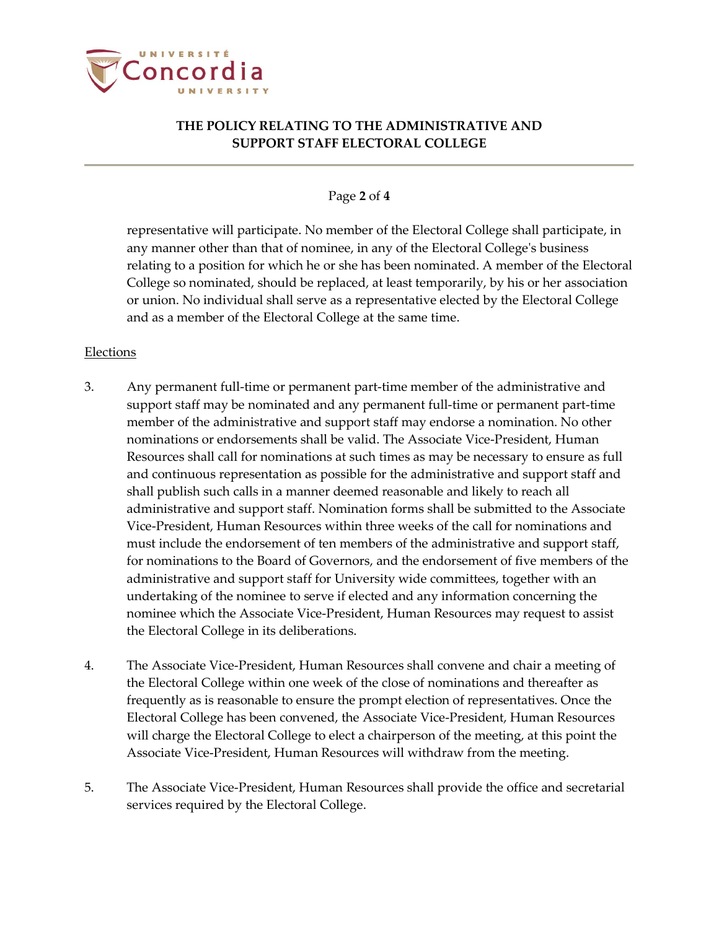

# **THE POLICY RELATING TO THE ADMINISTRATIVE AND SUPPORT STAFF ELECTORAL COLLEGE**

#### Page **2** of **4**

representative will participate. No member of the Electoral College shall participate, in any manner other than that of nominee, in any of the Electoral College's business relating to a position for which he or she has been nominated. A member of the Electoral College so nominated, should be replaced, at least temporarily, by his or her association or union. No individual shall serve as a representative elected by the Electoral College and as a member of the Electoral College at the same time.

#### **Elections**

- 3. Any permanent full-time or permanent part-time member of the administrative and support staff may be nominated and any permanent full-time or permanent part-time member of the administrative and support staff may endorse a nomination. No other nominations or endorsements shall be valid. The Associate Vice-President, Human Resources shall call for nominations at such times as may be necessary to ensure as full and continuous representation as possible for the administrative and support staff and shall publish such calls in a manner deemed reasonable and likely to reach all administrative and support staff. Nomination forms shall be submitted to the Associate Vice-President, Human Resources within three weeks of the call for nominations and must include the endorsement of ten members of the administrative and support staff, for nominations to the Board of Governors, and the endorsement of five members of the administrative and support staff for University wide committees, together with an undertaking of the nominee to serve if elected and any information concerning the nominee which the Associate Vice-President, Human Resources may request to assist the Electoral College in its deliberations.
- 4. The Associate Vice-President, Human Resources shall convene and chair a meeting of the Electoral College within one week of the close of nominations and thereafter as frequently as is reasonable to ensure the prompt election of representatives. Once the Electoral College has been convened, the Associate Vice-President, Human Resources will charge the Electoral College to elect a chairperson of the meeting, at this point the Associate Vice-President, Human Resources will withdraw from the meeting.
- 5. The Associate Vice-President, Human Resources shall provide the office and secretarial services required by the Electoral College.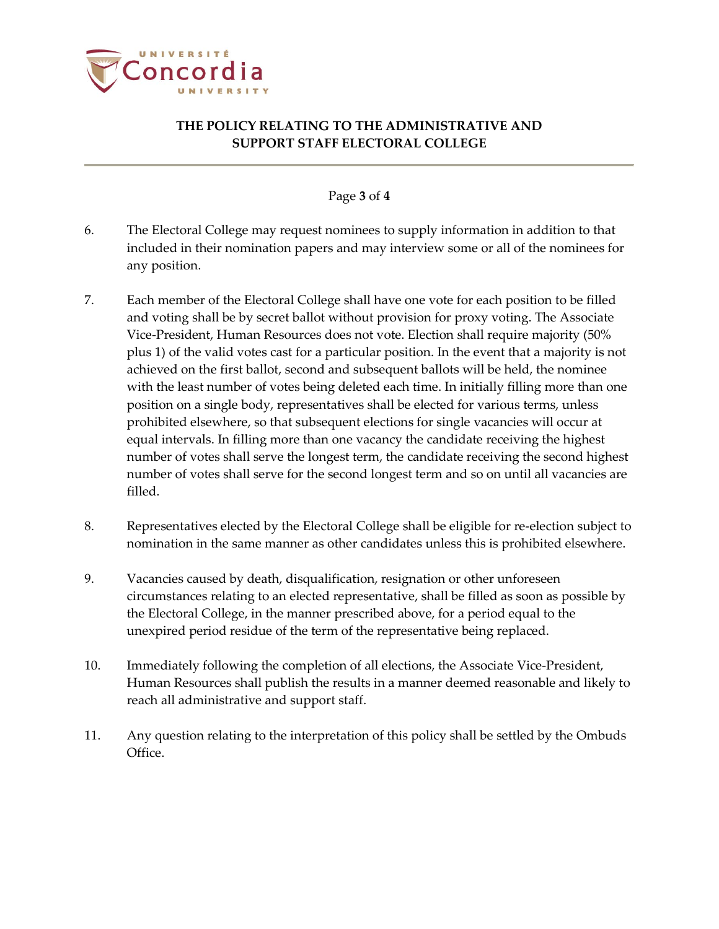

# **THE POLICY RELATING TO THE ADMINISTRATIVE AND SUPPORT STAFF ELECTORAL COLLEGE**

### Page **3** of **4**

- 6. The Electoral College may request nominees to supply information in addition to that included in their nomination papers and may interview some or all of the nominees for any position.
- 7. Each member of the Electoral College shall have one vote for each position to be filled and voting shall be by secret ballot without provision for proxy voting. The Associate Vice-President, Human Resources does not vote. Election shall require majority (50% plus 1) of the valid votes cast for a particular position. In the event that a majority is not achieved on the first ballot, second and subsequent ballots will be held, the nominee with the least number of votes being deleted each time. In initially filling more than one position on a single body, representatives shall be elected for various terms, unless prohibited elsewhere, so that subsequent elections for single vacancies will occur at equal intervals. In filling more than one vacancy the candidate receiving the highest number of votes shall serve the longest term, the candidate receiving the second highest number of votes shall serve for the second longest term and so on until all vacancies are filled.
- 8. Representatives elected by the Electoral College shall be eligible for re-election subject to nomination in the same manner as other candidates unless this is prohibited elsewhere.
- 9. Vacancies caused by death, disqualification, resignation or other unforeseen circumstances relating to an elected representative, shall be filled as soon as possible by the Electoral College, in the manner prescribed above, for a period equal to the unexpired period residue of the term of the representative being replaced.
- 10. Immediately following the completion of all elections, the Associate Vice-President, Human Resources shall publish the results in a manner deemed reasonable and likely to reach all administrative and support staff.
- 11. Any question relating to the interpretation of this policy shall be settled by the Ombuds Office.